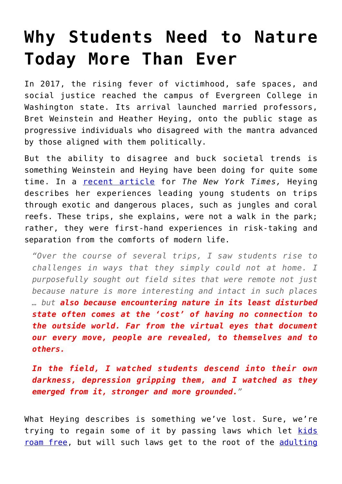## **[Why Students Need to Nature](https://intellectualtakeout.org/2018/04/why-students-need-to-nature-today-more-than-ever/) [Today More Than Ever](https://intellectualtakeout.org/2018/04/why-students-need-to-nature-today-more-than-ever/)**

In 2017, the rising fever of victimhood, safe spaces, and social justice reached the campus of Evergreen College in Washington state. Its arrival launched married professors, Bret Weinstein and Heather Heying, onto the public stage as progressive individuals who disagreed with the mantra advanced by those aligned with them politically.

But the ability to disagree and buck societal trends is something Weinstein and Heying have been doing for quite some time. In a [recent article](https://www.nytimes.com/2018/04/30/opinion/nature-students-risk.html) for *The New York Times,* Heying describes her experiences leading young students on trips through exotic and dangerous places, such as jungles and coral reefs. These trips, she explains, were not a walk in the park; rather, they were first-hand experiences in risk-taking and separation from the comforts of modern life.

*"Over the course of several trips, I saw students rise to challenges in ways that they simply could not at home. I purposefully sought out field sites that were remote not just because nature is more interesting and intact in such places … but also because encountering nature in its least disturbed state often comes at the 'cost' of having no connection to the outside world. Far from the virtual eyes that document our every move, people are revealed, to themselves and to others.*

*In the field, I watched students descend into their own darkness, depression gripping them, and I watched as they emerged from it, stronger and more grounded."*

What Heying describes is something we've lost. Sure, we're trying to regain some of it by passing laws which let [kids](https://www.intellectualtakeout.org/article/utah-gives-parents-right-parent) [roam free,](https://www.intellectualtakeout.org/article/utah-gives-parents-right-parent) but will such laws get to the root of the [adulting](https://www.intellectualtakeout.org/blog/adulting-school-founded-teach-millennials-how-be-adults)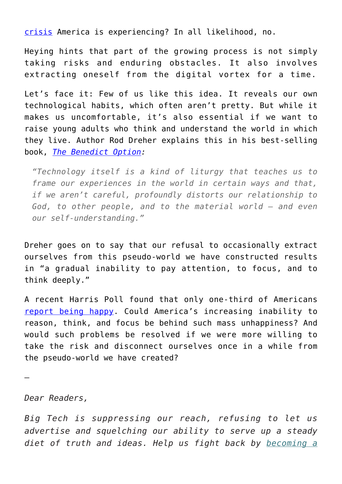[crisis](https://www.intellectualtakeout.org/blog/adulting-school-founded-teach-millennials-how-be-adults) America is experiencing? In all likelihood, no.

Heying hints that part of the growing process is not simply taking risks and enduring obstacles. It also involves extracting oneself from the digital vortex for a time.

Let's face it: Few of us like this idea. It reveals our own technological habits, which often aren't pretty. But while it makes us uncomfortable, it's also essential if we want to raise young adults who think and understand the world in which they live. Author Rod Dreher explains this in his best-selling book, *[The Benedict Option:](https://www.amazon.com/gp/product/0735213305/ref=as_li_qf_asin_il_tl?ie=UTF8&tag=intelltakeo0d-20&creative=9325&linkCode=as2&creativeASIN=0735213305&linkId=1a776a3e9d9d7e932e90cc9db9196266)*

*"Technology itself is a kind of liturgy that teaches us to frame our experiences in the world in certain ways and that, if we aren't careful, profoundly distorts our relationship to God, to other people, and to the material world – and even our self-understanding."*

Dreher goes on to say that our refusal to occasionally extract ourselves from this pseudo-world we have constructed results in "a gradual inability to pay attention, to focus, and to think deeply."

A recent Harris Poll found that only one-third of Americans [report being happy](http://time.com/4871720/how-happy-are-americans/). Could America's increasing inability to reason, think, and focus be behind such mass unhappiness? And would such problems be resolved if we were more willing to take the risk and disconnect ourselves once in a while from the pseudo-world we have created?

—

*Dear Readers,*

*Big Tech is suppressing our reach, refusing to let us advertise and squelching our ability to serve up a steady diet of truth and ideas. Help us fight back by [becoming a](https://www.chroniclesmagazine.org/subscribe/)*